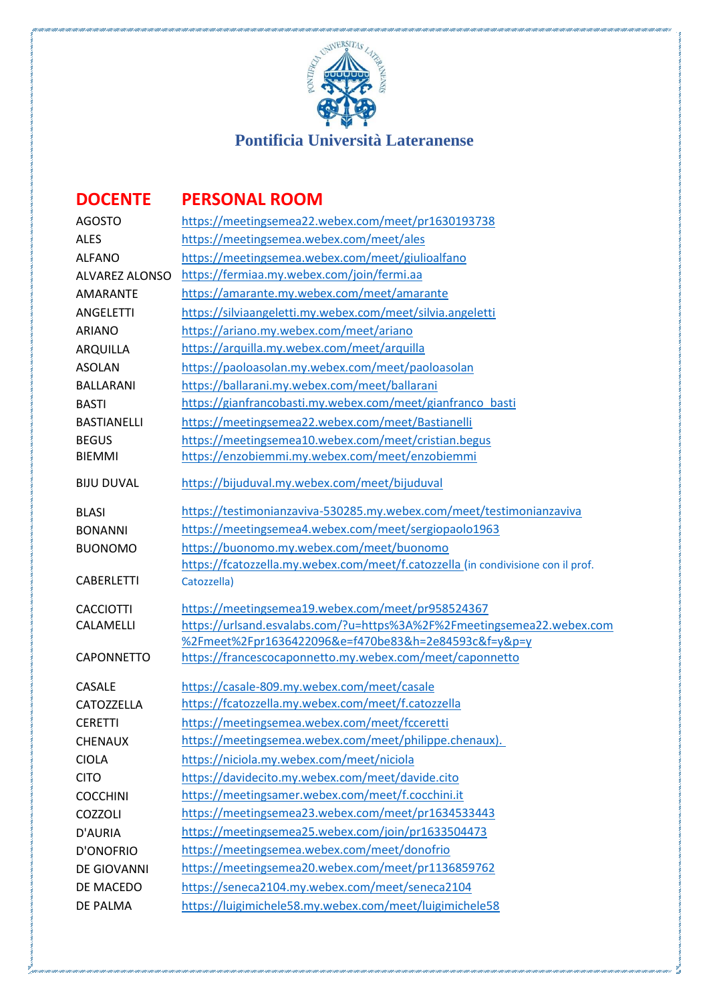

## **DOCENTE PERSONAL ROOM**

| <b>AGOSTO</b>         | https://meetingsemea22.webex.com/meet/pr1630193738                                              |
|-----------------------|-------------------------------------------------------------------------------------------------|
| <b>ALES</b>           | https://meetingsemea.webex.com/meet/ales                                                        |
| <b>ALFANO</b>         | https://meetingsemea.webex.com/meet/giulioalfano                                                |
| <b>ALVAREZ ALONSO</b> | https://fermiaa.my.webex.com/join/fermi.aa                                                      |
| <b>AMARANTE</b>       | https://amarante.my.webex.com/meet/amarante                                                     |
| <b>ANGELETTI</b>      | https://silviaangeletti.my.webex.com/meet/silvia.angeletti                                      |
| <b>ARIANO</b>         | https://ariano.my.webex.com/meet/ariano                                                         |
| <b>ARQUILLA</b>       | https://arquilla.my.webex.com/meet/arquilla                                                     |
| <b>ASOLAN</b>         | https://paoloasolan.my.webex.com/meet/paoloasolan                                               |
| <b>BALLARANI</b>      | https://ballarani.my.webex.com/meet/ballarani                                                   |
| <b>BASTI</b>          | https://gianfrancobasti.my.webex.com/meet/gianfranco basti                                      |
| <b>BASTIANELLI</b>    | https://meetingsemea22.webex.com/meet/Bastianelli                                               |
| <b>BEGUS</b>          | https://meetingsemea10.webex.com/meet/cristian.begus                                            |
| <b>BIEMMI</b>         | https://enzobiemmi.my.webex.com/meet/enzobiemmi                                                 |
| <b>BIJU DUVAL</b>     | https://bijuduval.my.webex.com/meet/bijuduval                                                   |
| <b>BLASI</b>          | https://testimonianzaviva-530285.my.webex.com/meet/testimonianzaviva                            |
| <b>BONANNI</b>        | https://meetingsemea4.webex.com/meet/sergiopaolo1963                                            |
| <b>BUONOMO</b>        | https://buonomo.my.webex.com/meet/buonomo                                                       |
| <b>CABERLETTI</b>     | https://fcatozzella.my.webex.com/meet/f.catozzella (in condivisione con il prof.<br>Catozzella) |
| <b>CACCIOTTI</b>      | https://meetingsemea19.webex.com/meet/pr958524367                                               |
| CALAMELLI             | https://urlsand.esvalabs.com/?u=https%3A%2F%2Fmeetingsemea22.webex.com                          |
|                       | %2Fmeet%2Fpr1636422096&e=f470be83&h=2e84593c&f=y&p=y                                            |
| CAPONNETTO            | https://francescocaponnetto.my.webex.com/meet/caponnetto                                        |
| <b>CASALE</b>         | https://casale-809.my.webex.com/meet/casale                                                     |
| CATOZZELLA            | https://fcatozzella.my.webex.com/meet/f.catozzella                                              |
| <b>CERETTI</b>        | https://meetingsemea.webex.com/meet/fcceretti                                                   |
| <b>CHENAUX</b>        | https://meetingsemea.webex.com/meet/philippe.chenaux).                                          |
| <b>CIOLA</b>          | https://niciola.my.webex.com/meet/niciola                                                       |
| <b>CITO</b>           | https://davidecito.my.webex.com/meet/davide.cito                                                |
| <b>COCCHINI</b>       | https://meetingsamer.webex.com/meet/f.cocchini.it                                               |
| COZZOLI               | https://meetingsemea23.webex.com/meet/pr1634533443                                              |
| D'AURIA               | https://meetingsemea25.webex.com/join/pr1633504473                                              |
| <b>D'ONOFRIO</b>      | https://meetingsemea.webex.com/meet/donofrio                                                    |
| DE GIOVANNI           | https://meetingsemea20.webex.com/meet/pr1136859762                                              |
| DE MACEDO             | https://seneca2104.my.webex.com/meet/seneca2104                                                 |
| DE PALMA              | https://luigimichele58.my.webex.com/meet/luigimichele58                                         |
|                       |                                                                                                 |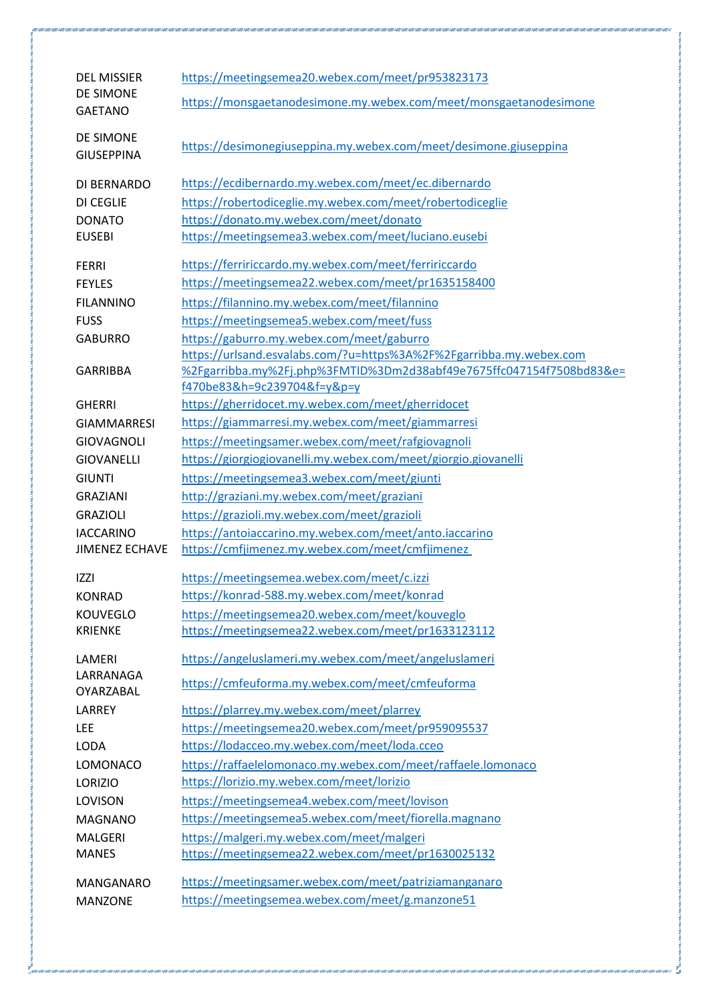| <b>DEL MISSIER</b>    | https://meetingsemea20.webex.com/meet/pr953823173                                                   |
|-----------------------|-----------------------------------------------------------------------------------------------------|
| <b>DE SIMONE</b>      |                                                                                                     |
| <b>GAETANO</b>        | https://monsgaetanodesimone.my.webex.com/meet/monsgaetanodesimone                                   |
|                       |                                                                                                     |
| DE SIMONE             | https://desimonegiuseppina.my.webex.com/meet/desimone.giuseppina                                    |
| <b>GIUSEPPINA</b>     |                                                                                                     |
|                       | https://ecdibernardo.my.webex.com/meet/ec.dibernardo                                                |
| DI BERNARDO           |                                                                                                     |
| DI CEGLIE             | https://robertodiceglie.my.webex.com/meet/robertodiceglie                                           |
| <b>DONATO</b>         | https://donato.my.webex.com/meet/donato                                                             |
| <b>EUSEBI</b>         | https://meetingsemea3.webex.com/meet/luciano.eusebi                                                 |
| <b>FERRI</b>          | https://ferririccardo.my.webex.com/meet/ferririccardo                                               |
| <b>FEYLES</b>         | https://meetingsemea22.webex.com/meet/pr1635158400                                                  |
| <b>FILANNINO</b>      | https://filannino.my.webex.com/meet/filannino                                                       |
|                       |                                                                                                     |
| <b>FUSS</b>           | https://meetingsemea5.webex.com/meet/fuss                                                           |
| <b>GABURRO</b>        | https://gaburro.my.webex.com/meet/gaburro                                                           |
|                       | https://urlsand.esvalabs.com/?u=https%3A%2F%2Fgarribba.my.webex.com                                 |
| <b>GARRIBBA</b>       | %2Fgarribba.my%2Fj.php%3FMTID%3Dm2d38abf49e7675ffc047154f7508bd83&e=<br>f470be83&h=9c239704&f=y&p=y |
|                       |                                                                                                     |
| <b>GHERRI</b>         | https://gherridocet.my.webex.com/meet/gherridocet                                                   |
| <b>GIAMMARRESI</b>    | https://giammarresi.my.webex.com/meet/giammarresi                                                   |
| <b>GIOVAGNOLI</b>     | https://meetingsamer.webex.com/meet/rafgiovagnoli                                                   |
| <b>GIOVANELLI</b>     | https://giorgiogiovanelli.my.webex.com/meet/giorgio.giovanelli                                      |
| <b>GIUNTI</b>         | https://meetingsemea3.webex.com/meet/giunti                                                         |
| <b>GRAZIANI</b>       | http://graziani.my.webex.com/meet/graziani                                                          |
| <b>GRAZIOLI</b>       | https://grazioli.my.webex.com/meet/grazioli                                                         |
| <b>IACCARINO</b>      | https://antoiaccarino.my.webex.com/meet/anto.iaccarino                                              |
| <b>JIMENEZ ECHAVE</b> | https://cmfjimenez.my.webex.com/meet/cmfjimenez                                                     |
|                       |                                                                                                     |
| <b>IZZI</b>           | https://meetingsemea.webex.com/meet/c.izzi                                                          |
| KONRAD                | https://konrad-588.my.webex.com/meet/konrad                                                         |
| <b>KOUVEGLO</b>       | https://meetingsemea20.webex.com/meet/kouveglo                                                      |
| <b>KRIENKE</b>        | https://meetingsemea22.webex.com/meet/pr1633123112                                                  |
| LAMERI                | https://angeluslameri.my.webex.com/meet/angeluslameri                                               |
| LARRANAGA             |                                                                                                     |
| OYARZABAL             | https://cmfeuforma.my.webex.com/meet/cmfeuforma                                                     |
| LARREY                | https://plarrey.my.webex.com/meet/plarrey                                                           |
| <b>LEE</b>            | https://meetingsemea20.webex.com/meet/pr959095537                                                   |
| <b>LODA</b>           | https://lodacceo.my.webex.com/meet/loda.cceo                                                        |
|                       |                                                                                                     |
| <b>LOMONACO</b>       | https://raffaelelomonaco.my.webex.com/meet/raffaele.lomonaco                                        |
| <b>LORIZIO</b>        | https://lorizio.my.webex.com/meet/lorizio                                                           |
| LOVISON               | https://meetingsemea4.webex.com/meet/lovison                                                        |
| <b>MAGNANO</b>        | https://meetingsemea5.webex.com/meet/fiorella.magnano                                               |
| <b>MALGERI</b>        | https://malgeri.my.webex.com/meet/malgeri                                                           |
| <b>MANES</b>          | https://meetingsemea22.webex.com/meet/pr1630025132                                                  |
| <b>MANGANARO</b>      | https://meetingsamer.webex.com/meet/patriziamanganaro                                               |
|                       | https://meetingsemea.webex.com/meet/g.manzone51                                                     |
| <b>MANZONE</b>        |                                                                                                     |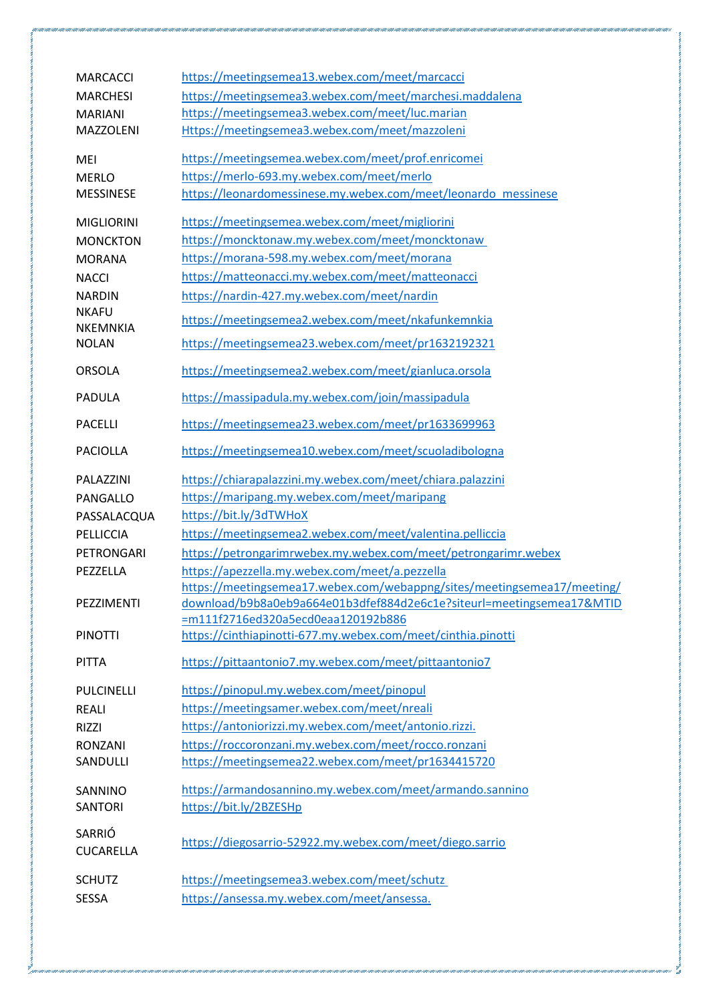| <b>MARCACCI</b>                 | https://meetingsemea13.webex.com/meet/marcacci                          |
|---------------------------------|-------------------------------------------------------------------------|
| <b>MARCHESI</b>                 | https://meetingsemea3.webex.com/meet/marchesi.maddalena                 |
| <b>MARIANI</b>                  | https://meetingsemea3.webex.com/meet/luc.marian                         |
| MAZZOLENI                       | Https://meetingsemea3.webex.com/meet/mazzoleni                          |
| MEI                             | https://meetingsemea.webex.com/meet/prof.enricomei                      |
| <b>MERLO</b>                    | https://merlo-693.my.webex.com/meet/merlo                               |
| <b>MESSINESE</b>                | https://leonardomessinese.my.webex.com/meet/leonardo messinese          |
| <b>MIGLIORINI</b>               | https://meetingsemea.webex.com/meet/migliorini                          |
| <b>MONCKTON</b>                 | https://moncktonaw.my.webex.com/meet/moncktonaw                         |
| <b>MORANA</b>                   | https://morana-598.my.webex.com/meet/morana                             |
| <b>NACCI</b>                    | https://matteonacci.my.webex.com/meet/matteonacci                       |
| <b>NARDIN</b>                   | https://nardin-427.my.webex.com/meet/nardin                             |
| <b>NKAFU</b><br><b>NKEMNKIA</b> | https://meetingsemea2.webex.com/meet/nkafunkemnkia                      |
| <b>NOLAN</b>                    | https://meetingsemea23.webex.com/meet/pr1632192321                      |
| <b>ORSOLA</b>                   | https://meetingsemea2.webex.com/meet/gianluca.orsola                    |
| <b>PADULA</b>                   | https://massipadula.my.webex.com/join/massipadula                       |
| <b>PACELLI</b>                  | https://meetingsemea23.webex.com/meet/pr1633699963                      |
| <b>PACIOLLA</b>                 | https://meetingsemea10.webex.com/meet/scuoladibologna                   |
| PALAZZINI                       | https://chiarapalazzini.my.webex.com/meet/chiara.palazzini              |
| PANGALLO                        | https://maripang.my.webex.com/meet/maripang                             |
| PASSALACQUA                     | https://bit.ly/3dTWHoX                                                  |
| PELLICCIA                       | https://meetingsemea2.webex.com/meet/valentina.pelliccia                |
| PETRONGARI                      | https://petrongarimrwebex.my.webex.com/meet/petrongarimr.webex          |
| PEZZELLA                        | https://apezzella.my.webex.com/meet/a.pezzella                          |
|                                 | https://meetingsemea17.webex.com/webappng/sites/meetingsemea17/meeting/ |
| PEZZIMENTI                      | download/b9b8a0eb9a664e01b3dfef884d2e6c1e?siteurl=meetingsemea17&MTID   |
|                                 | =m111f2716ed320a5ecd0eaa120192b886                                      |
| <b>PINOTTI</b>                  | https://cinthiapinotti-677.my.webex.com/meet/cinthia.pinotti            |
| <b>PITTA</b>                    | https://pittaantonio7.my.webex.com/meet/pittaantonio7                   |
| <b>PULCINELLI</b>               | https://pinopul.my.webex.com/meet/pinopul                               |
| <b>REALI</b>                    | https://meetingsamer.webex.com/meet/nreali                              |
| <b>RIZZI</b>                    | https://antoniorizzi.my.webex.com/meet/antonio.rizzi.                   |
| <b>RONZANI</b>                  | https://roccoronzani.my.webex.com/meet/rocco.ronzani                    |
| SANDULLI                        | https://meetingsemea22.webex.com/meet/pr1634415720                      |
| SANNINO                         | https://armandosannino.my.webex.com/meet/armando.sannino                |
| <b>SANTORI</b>                  | https://bit.ly/2BZESHp                                                  |
| SARRIÓ<br><b>CUCARELLA</b>      | https://diegosarrio-52922.my.webex.com/meet/diego.sarrio                |
| <b>SCHUTZ</b>                   | https://meetingsemea3.webex.com/meet/schutz                             |
| <b>SESSA</b>                    | https://ansessa.my.webex.com/meet/ansessa.                              |
|                                 |                                                                         |

.<br>That failt failt failt failt failt failt failt failt failt failt failt failt failt failt failt failt failt failt failt failt failt